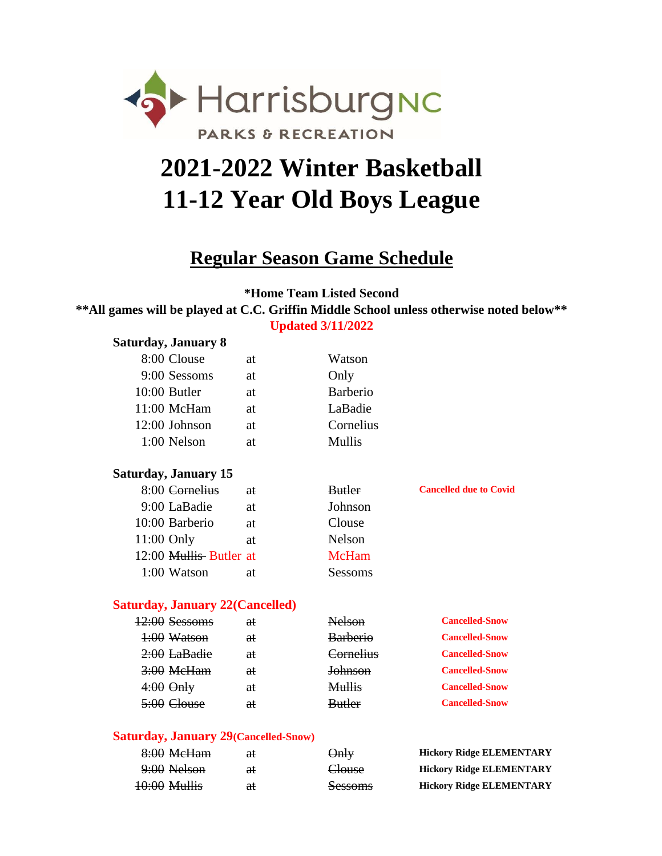

# **2021-2022 Winter Basketball 11-12 Year Old Boys League**

### **Regular Season Game Schedule**

**\*Home Team Listed Second**

**Updated 3/11/2022 \*\*All games will be played at C.C. Griffin Middle School unless otherwise noted below\*\***

| Saturday, January 8                    |               |                 |                               |
|----------------------------------------|---------------|-----------------|-------------------------------|
| 8:00 Clouse                            | at            | Watson          |                               |
| 9:00 Sessoms                           | at            | Only            |                               |
| $10:00$ Butler                         | at            | <b>Barberio</b> |                               |
| $11:00$ McHam                          | at            | LaBadie         |                               |
| 12:00 Johnson                          | at            | Cornelius       |                               |
| 1:00 Nelson                            | at            | <b>Mullis</b>   |                               |
| <b>Saturday, January 15</b>            |               |                 |                               |
| 8:00 <del>Cornelius</del>              | <del>at</del> | <b>Butler</b>   | <b>Cancelled due to Covid</b> |
| 9:00 LaBadie                           | at.           | Johnson         |                               |
| 10:00 Barberio                         | <b>at</b>     | Clouse          |                               |
| $11:00$ Only                           | at            | <b>Nelson</b>   |                               |
| 12:00 Mullis Butler at                 |               | <b>McHam</b>    |                               |
| 1:00 Watson                            | at            | Sessoms         |                               |
| <b>Saturday, January 22(Cancelled)</b> |               |                 |                               |
| $42:00$ Sessoms                        | <del>at</del> |                 | <b>Cancelled-Snow</b>         |

| Cancelled-Show        |
|-----------------------|
| <b>Cancelled-Snow</b> |
| <b>Cancelled-Snow</b> |
| <b>Cancelled-Snow</b> |
| <b>Cancelled-Snow</b> |
| <b>Cancelled-Snow</b> |
|                       |

#### **Saturday, January 29(Cancelled-Snow)**

| 8:00 MeHam              | aŧ | $\Theta$ nly   | <b>Hickory Ridge ELEMENTARY</b> |
|-------------------------|----|----------------|---------------------------------|
| 9:00 Nelson             | ₩  | Clouse         | <b>Hickory Ridge ELEMENTARY</b> |
| <del>10:00 Mullis</del> | aŧ | <b>Sessoms</b> | <b>Hickory Ridge ELEMENTARY</b> |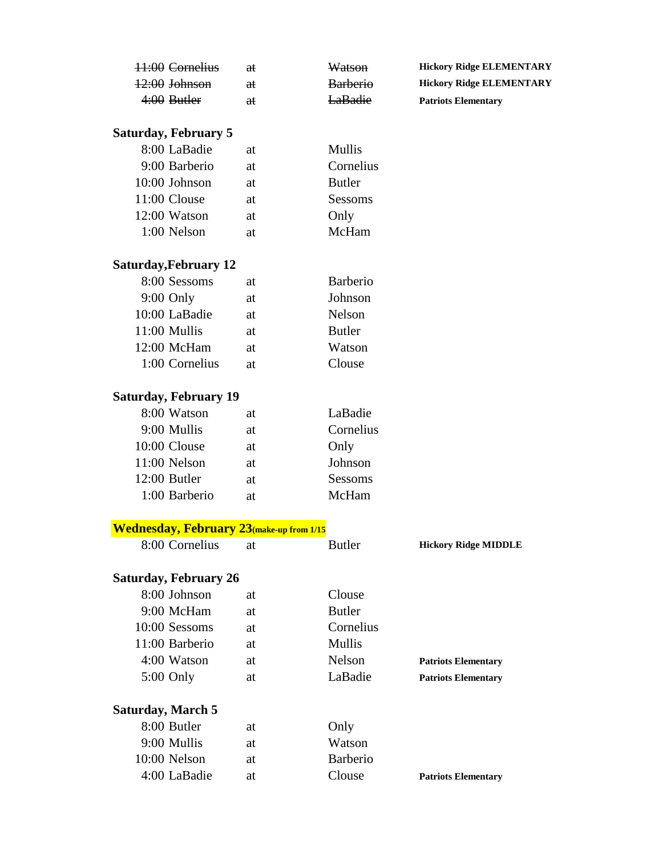| 11:00 Cornelius | θŧ | Watson          | <b>Hickory Ridge ELEMENTARY</b> |
|-----------------|----|-----------------|---------------------------------|
| 12:00 Johnson   | aŧ | <b>Barberio</b> | <b>Hickory Ridge ELEMENTARY</b> |
| 4:00 Butler     | €£ | <b>LaBadie</b>  | <b>Patriots Elementary</b>      |

### **Saturday, February 5**

| 8:00 LaBadie  | at | Mullis        |
|---------------|----|---------------|
| 9:00 Barberio | at | Cornelius     |
| 10:00 Johnson | at | <b>Butler</b> |
| 11:00 Clouse  | at | Sessoms       |
| 12:00 Watson  | at | Only          |
| 1:00 Nelson   | аt | McHam         |

### **Saturday,February 12**

| 8:00 Sessoms   | at | <b>Barberio</b> |
|----------------|----|-----------------|
| $9:00$ Only    | at | Johnson         |
| 10:00 LaBadie  | at | Nelson          |
| 11:00 Mullis   | at | <b>Butler</b>   |
| 12:00 McHam    | at | Watson          |
| 1:00 Cornelius | аt | Clouse          |

### **Saturday, February 19**

| 8:00 Watson   | at | LaBadie   |
|---------------|----|-----------|
| 9:00 Mullis   | at | Cornelius |
| 10:00 Clouse  | at | Only      |
| 11:00 Nelson  | at | Johnson   |
| 12:00 Butler  | at | Sessoms   |
| 1:00 Barberio | аt | McHam     |

#### **Wednesday, February 23(make-up from 1/15)**

| 8:00 Cornelius        | at | Butler          | <b>Hickory Ridge MIDDLE</b> |
|-----------------------|----|-----------------|-----------------------------|
| Saturday, February 26 |    |                 |                             |
| 8:00 Johnson          | at | Clouse          |                             |
| 9:00 McHam            | at | Butler          |                             |
| 10:00 Sessoms         | at | Cornelius       |                             |
| 11:00 Barberio        | at | <b>Mullis</b>   |                             |
| 4:00 Watson           | at | <b>Nelson</b>   | <b>Patriots Elementary</b>  |
| $5:00$ Only           | at | LaBadie         | <b>Patriots Elementary</b>  |
| Saturday, March 5     |    |                 |                             |
| 8:00 Butler           | at | Only            |                             |
| 9:00 Mullis           | at | Watson          |                             |
| $10:00$ Nelson        | at | <b>Barberio</b> |                             |
| 4:00 LaBadie          | at | Clouse          | <b>Patriots Elementary</b>  |